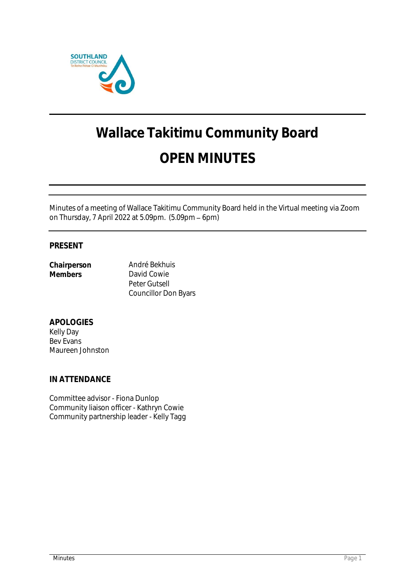

# **Wallace Takitimu Community Board OPEN MINUTES**

Minutes of a meeting of Wallace Takitimu Community Board held in the Virtual meeting via Zoom on Thursday, 7 April 2022 at 5.09pm. (5.09pm - 6pm)

# **PRESENT**

| Chairperson | Andr  |
|-------------|-------|
| Members     | Davi  |
|             | Peter |

ré Bekhuis d Cowie r Gutsell Councillor Don Byars

**APOLOGIES** Kelly Day Bev Evans Maureen Johnston

**IN ATTENDANCE**

Committee advisor - Fiona Dunlop Community liaison officer - Kathryn Cowie Community partnership leader - Kelly Tagg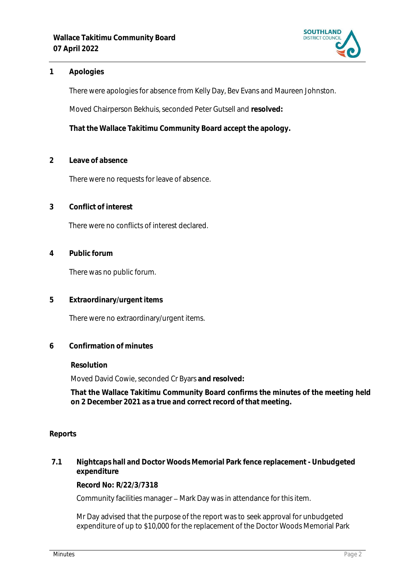

## **1 Apologies**

There were apologies for absence from Kelly Day, Bev Evans and Maureen Johnston.

Moved Chairperson Bekhuis, seconded Peter Gutsell and **resolved:**

**That the Wallace Takitimu Community Board accept the apology.**

**2 Leave of absence** 

There were no requests for leave of absence.

**3 Conflict of interest**

There were no conflicts of interest declared.

**4 Public forum**

There was no public forum.

**5 Extraordinary/urgent items**

There were no extraordinary/urgent items.

**6 Confirmation of minutes**

**Resolution**

Moved David Cowie, seconded Cr Byars **and resolved:**

**That the Wallace Takitimu Community Board confirms the minutes of the meeting held on 2 December 2021 as a true and correct record of that meeting.**

#### **Reports**

**7.1 Nightcaps hall and Doctor Woods Memorial Park fence replacement - Unbudgeted expenditure**

**Record No: R/22/3/7318**

Community facilities manager - Mark Day was in attendance for this item.

Mr Day advised that the purpose of the report was to seek approval for unbudgeted expenditure of up to \$10,000 for the replacement of the Doctor Woods Memorial Park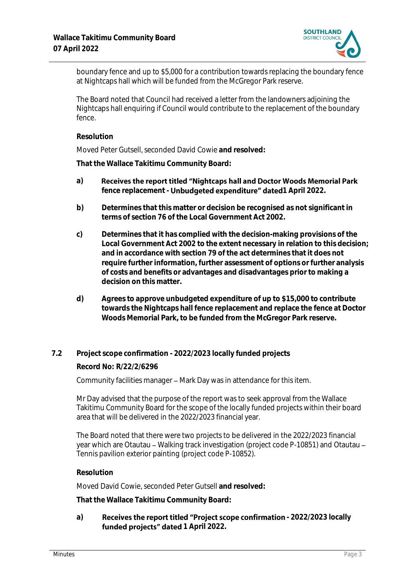

boundary fence and up to \$5,000 for a contribution towards replacing the boundary fence at Nightcaps hall which will be funded from the McGregor Park reserve.

The Board noted that Council had received a letter from the landowners adjoining the Nightcaps hall enquiring if Council would contribute to the replacement of the boundary fence.

#### **Resolution**

Moved Peter Gutsell, seconded David Cowie **and resolved:**

**That the Wallace Takitimu Community Board:**

- Receives the report titled "Nightcaps hall and Doctor Woods Memorial Park **a)** fence replacement - **Unbudgeted expenditure" dated**1 April 2022.
- **b) Determines that this matter or decision be recognised as not significant in terms of section 76 of the Local Government Act 2002.**
- **c) Determines that it has complied with the decision-making provisions of the Local Government Act 2002 to the extent necessary in relation to this decision; and in accordance with section 79 of the act determines that it does not require further information, further assessment of options or further analysis of costs and benefits or advantages and disadvantages prior to making a decision on this matter.**
- **d) Agrees to approve unbudgeted expenditure of up to \$15,000 to contribute towards the Nightcaps hall fence replacement and replace the fence at Doctor Woods Memorial Park, to be funded from the McGregor Park reserve.**
- **7.2 Project scope confirmation - 2022/2023 locally funded projects**

**Record No: R/22/2/6296**

Community facilities manager – Mark Day was in attendance for this item.

Mr Day advised that the purpose of the report was to seek approval from the Wallace Takitimu Community Board for the scope of the locally funded projects within their board area that will be delivered in the 2022/2023 financial year.

The Board noted that there were two projects to be delivered in the 2022/2023 financial year which are Otautau - Walking track investigation (project code P-10851) and Otautau -Tennis pavilion exterior painting (project code P-10852).

**Resolution**

Moved David Cowie, seconded Peter Gutsell **and resolved:**

**That the Wallace Takitimu Community Board:**

a) **Receives the report titled "Project scope confirmation - 2022/2023 locally** funded projects" dated 1 April 2022.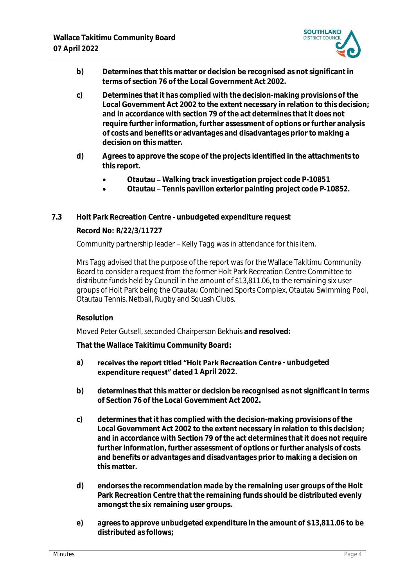

- **b) Determines that this matter or decision be recognised as not significant in terms of section 76 of the Local Government Act 2002.**
- **c) Determines that it has complied with the decision-making provisions of the Local Government Act 2002 to the extent necessary in relation to this decision; and in accordance with section 79 of the act determines that it does not require further information, further assessment of options or further analysis of costs and benefits or advantages and disadvantages prior to making a decision on this matter.**
- **d) Agrees to approve the scope of the projects identified in the attachments to this report.**
	- **Otautau Walking track investigation project code P-10851**
	- **Otautau Tennis pavilion exterior painting project code P-10852.**
- **7.3 Holt Park Recreation Centre - unbudgeted expenditure request**

## **Record No: R/22/3/11727**

Community partnership leader - Kelly Tagg was in attendance for this item.

Mrs Tagg advised that the purpose of the report was for the Wallace Takitimu Community Board to consider a request from the former Holt Park Recreation Centre Committee to distribute funds held by Council in the amount of \$13,811.06, to the remaining six user groups of Holt Park being the Otautau Combined Sports Complex, Otautau Swimming Pool, Otautau Tennis, Netball, Rugby and Squash Clubs.

## **Resolution**

Moved Peter Gutsell, seconded Chairperson Bekhuis **and resolved:**

**That the Wallace Takitimu Community Board:**

- a) **receives the report titled "Holt Park Recreation Centre unbudgeted expenditure request" dated** 1 April 2022.
- **b) determines that this matter or decision be recognised as not significant in terms of Section 76 of the Local Government Act 2002.**
- **c) determines that it has complied with the decision-making provisions of the Local Government Act 2002 to the extent necessary in relation to this decision; and in accordance with Section 79 of the act determines that it does not require further information, further assessment of options or further analysis of costs and benefits or advantages and disadvantages prior to making a decision on this matter.**
- **d) endorses the recommendation made by the remaining user groups of the Holt Park Recreation Centre that the remaining funds should be distributed evenly amongst the six remaining user groups.**
- **e) agrees to approve unbudgeted expenditure in the amount of \$13,811.06 to be distributed as follows;**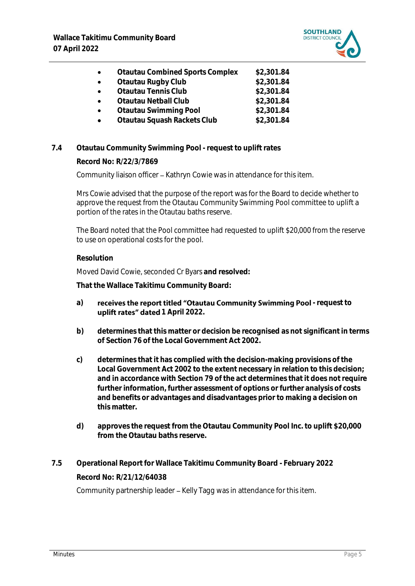

|  | <b>Otautau Combined Sports Complex</b> | \$2,301.84 |
|--|----------------------------------------|------------|
|--|----------------------------------------|------------|

- **Otautau Rugby Club \$2,301.84**
	- **Otautau Tennis Club \$2,301.84**
		- **Otautau Netball Club \$2,301.84**
- **Otautau Swimming Pool \$2,301.84**
- **Otautau Squash Rackets Club \$2,301.84**

# **7.4 Otautau Community Swimming Pool - request to uplift rates**

**Record No: R/22/3/7869**

Community liaison officer - Kathryn Cowie was in attendance for this item.

Mrs Cowie advised that the purpose of the report was for the Board to decide whether to approve the request from the Otautau Community Swimming Pool committee to uplift a portion of the rates in the Otautau baths reserve.

The Board noted that the Pool committee had requested to uplift \$20,000 from the reserve to use on operational costs for the pool.

#### **Resolution**

Moved David Cowie, seconded Cr Byars **and resolved:**

**That the Wallace Takitimu Community Board:**

- a) **receives the report titled "Otautau Community Swimming Pool request to** uplift rates" dated 1 April 2022.
- **b) determines that this matter or decision be recognised as not significant in terms of Section 76 of the Local Government Act 2002.**
- **c) determines that it has complied with the decision-making provisions of the Local Government Act 2002 to the extent necessary in relation to this decision; and in accordance with Section 79 of the act determines that it does not require further information, further assessment of options or further analysis of costs and benefits or advantages and disadvantages prior to making a decision on this matter.**
- **d) approves the request from the Otautau Community Pool Inc. to uplift \$20,000 from the Otautau baths reserve.**
- **7.5 Operational Report for Wallace Takitimu Community Board - February 2022 Record No: R/21/12/64038**

Community partnership leader - Kelly Tagg was in attendance for this item.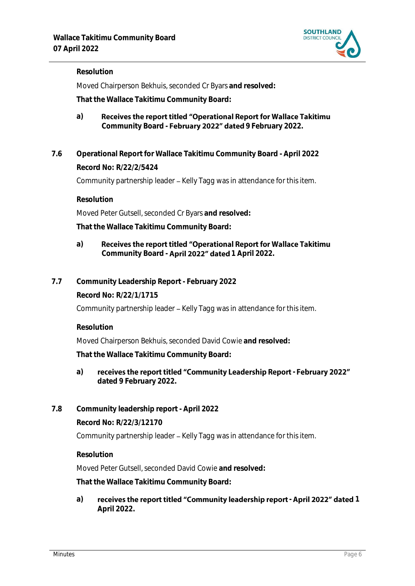

## **Resolution**

Moved Chairperson Bekhuis, seconded Cr Byars **and resolved:**

**That the Wallace Takitimu Community Board:**

- Receives the report titled "Operational Report for Wallace Takitimu **a)** Community Board - February 2022" dated 9 February 2022.
- **7.6 Operational Report for Wallace Takitimu Community Board - April 2022 Record No: R/22/2/5424**

Community partnership leader - Kelly Tagg was in attendance for this item.

**Resolution**

Moved Peter Gutsell, seconded Cr Byars **and resolved:**

**That the Wallace Takitimu Community Board:**

#### Receives the report titled "Operational Report for Wallace Takitimu **a)** Community Board - **April 2022" dated** 1 April 2022.

**7.7 Community Leadership Report - February 2022**

**Record No: R/22/1/1715**

Community partnership leader – Kelly Tagg was in attendance for this item.

**Resolution**

Moved Chairperson Bekhuis, seconded David Cowie **and resolved:**

**That the Wallace Takitimu Community Board:**

a) receives the report titled "Community Leadership Report - February 2022" **dated 9 February 2022.**

## **7.8 Community leadership report - April 2022**

**Record No: R/22/3/12170**

Community partnership leader - Kelly Tagg was in attendance for this item.

**Resolution**

Moved Peter Gutsell, seconded David Cowie **and resolved:**

**That the Wallace Takitimu Community Board:**

a) receives the report titled "Community leadership report - April 2022" dated 1 **April 2022.**